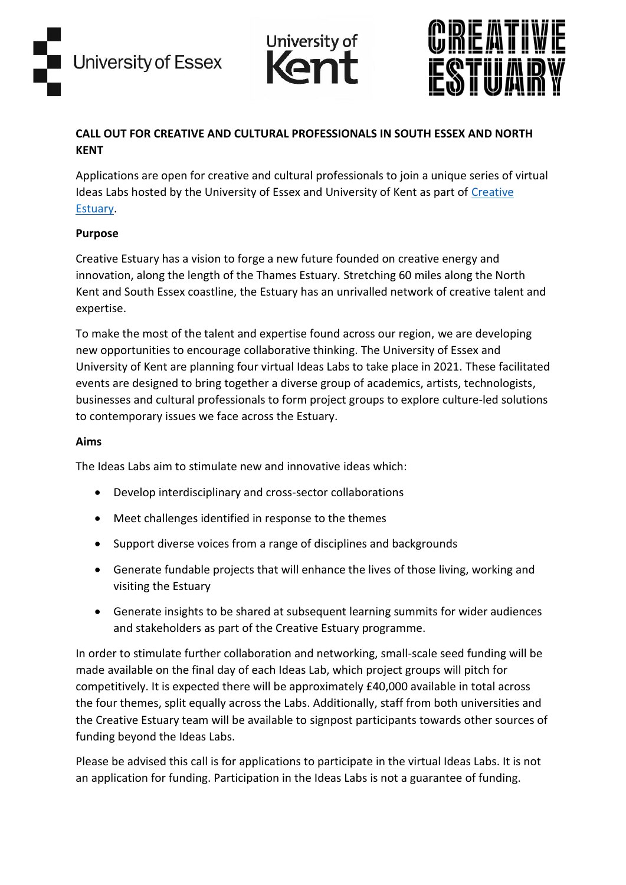





# **CALL OUT FOR CREATIVE AND CULTURAL PROFESSIONALS IN SOUTH ESSEX AND NORTH KENT**

Applications are open for creative and cultural professionals to join a unique series of virtual Ideas Labs hosted by the University of Essex and University of Kent as part of [Creative](https://www.creativeestuary.com/)  [Estuary.](https://www.creativeestuary.com/)

### **Purpose**

Creative Estuary has a vision to forge a new future founded on creative energy and innovation, along the length of the Thames Estuary. Stretching 60 miles along the North Kent and South Essex coastline, the Estuary has an unrivalled network of creative talent and expertise.

To make the most of the talent and expertise found across our region, we are developing new opportunities to encourage collaborative thinking. The University of Essex and University of Kent are planning four virtual Ideas Labs to take place in 2021. These facilitated events are designed to bring together a diverse group of academics, artists, technologists, businesses and cultural professionals to form project groups to explore culture-led solutions to contemporary issues we face across the Estuary.

#### **Aims**

The Ideas Labs aim to stimulate new and innovative ideas which:

- Develop interdisciplinary and cross-sector collaborations
- Meet challenges identified in response to the themes
- Support diverse voices from a range of disciplines and backgrounds
- Generate fundable projects that will enhance the lives of those living, working and visiting the Estuary
- Generate insights to be shared at subsequent learning summits for wider audiences and stakeholders as part of the Creative Estuary programme.

In order to stimulate further collaboration and networking, small-scale seed funding will be made available on the final day of each Ideas Lab, which project groups will pitch for competitively. It is expected there will be approximately £40,000 available in total across the four themes, split equally across the Labs. Additionally, staff from both universities and the Creative Estuary team will be available to signpost participants towards other sources of funding beyond the Ideas Labs.

Please be advised this call is for applications to participate in the virtual Ideas Labs. It is not an application for funding. Participation in the Ideas Labs is not a guarantee of funding.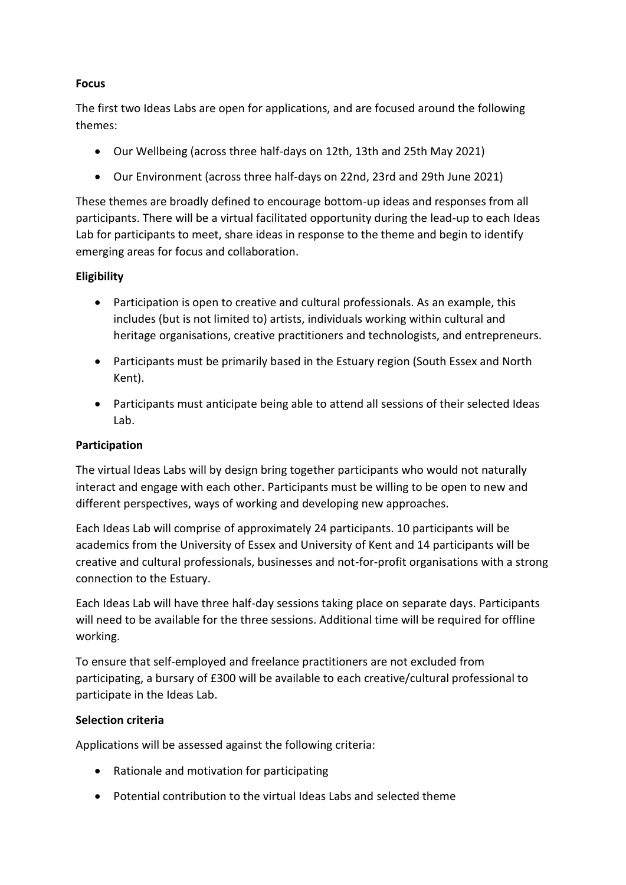## **Focus**

The first two Ideas Labs are open for applications, and are focused around the following themes:

- Our Wellbeing (across three half-days on 12th, 13th and 25th May 2021)
- Our Environment (across three half-days on 22nd, 23rd and 29th June 2021)

These themes are broadly defined to encourage bottom-up ideas and responses from all participants. There will be a virtual facilitated opportunity during the lead-up to each Ideas Lab for participants to meet, share ideas in response to the theme and begin to identify emerging areas for focus and collaboration.

## **Eligibility**

- Participation is open to creative and cultural professionals. As an example, this includes (but is not limited to) artists, individuals working within cultural and heritage organisations, creative practitioners and technologists, and entrepreneurs.
- Participants must be primarily based in the Estuary region (South Essex and North Kent).
- Participants must anticipate being able to attend all sessions of their selected Ideas Lab.

## **Participation**

The virtual Ideas Labs will by design bring together participants who would not naturally interact and engage with each other. Participants must be willing to be open to new and different perspectives, ways of working and developing new approaches.

Each Ideas Lab will comprise of approximately 24 participants. 10 participants will be academics from the University of Essex and University of Kent and 14 participants will be creative and cultural professionals, businesses and not-for-profit organisations with a strong connection to the Estuary.

Each Ideas Lab will have three half-day sessions taking place on separate days. Participants will need to be available for the three sessions. Additional time will be required for offline working.

To ensure that self-employed and freelance practitioners are not excluded from participating, a bursary of £300 will be available to each creative/cultural professional to participate in the Ideas Lab.

### **Selection criteria**

Applications will be assessed against the following criteria:

- Rationale and motivation for participating
- Potential contribution to the virtual Ideas Labs and selected theme